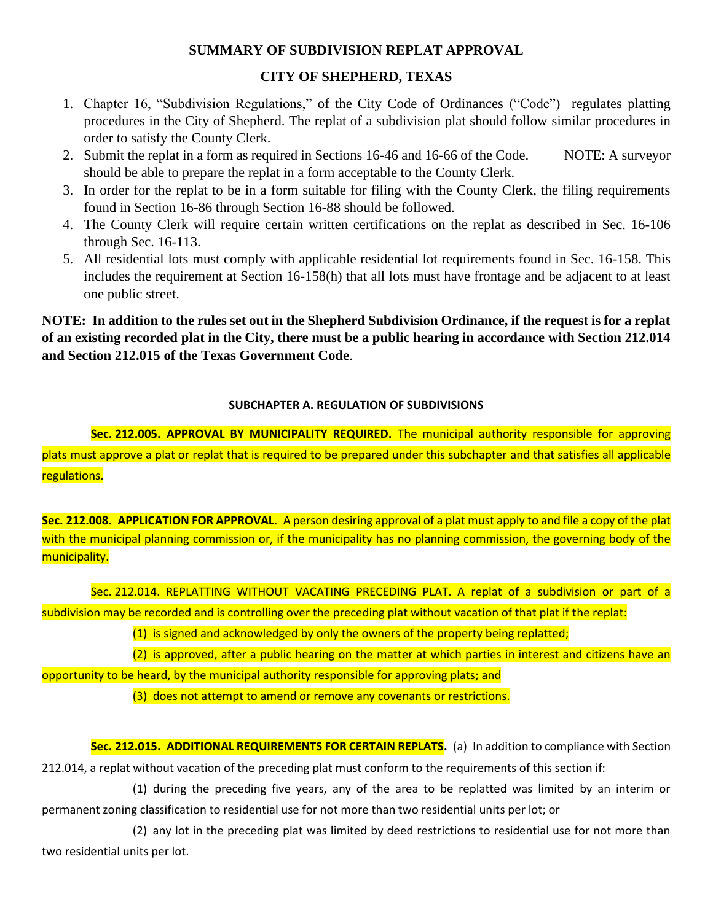## **SUMMARY OF SUBDIVISION REPLAT APPROVAL**

## **CITY OF SHEPHERD, TEXAS**

- 1. Chapter 16, "Subdivision Regulations," of the City Code of Ordinances ("Code") regulates platting procedures in the City of Shepherd. The replat of a subdivision plat should follow similar procedures in order to satisfy the County Clerk.
- 2. Submit the replat in a form as required in Sections 16-46 and 16-66 of the Code. NOTE: A surveyor should be able to prepare the replat in a form acceptable to the County Clerk.
- 3. In order for the replat to be in a form suitable for filing with the County Clerk, the filing requirements found in Section 16-86 through Section 16-88 should be followed.
- 4. The County Clerk will require certain written certifications on the replat as described in Sec. 16-106 through Sec. 16-113.
- 5. All residential lots must comply with applicable residential lot requirements found in Sec. 16-158. This includes the requirement at Section 16-158(h) that all lots must have frontage and be adjacent to at least one public street.

**NOTE: In addition to the rules set out in the Shepherd Subdivision Ordinance, if the request is for a replat of an existing recorded plat in the City, there must be a public hearing in accordance with Section 212.014 and Section 212.015 of the Texas Government Code**.

## **SUBCHAPTER A. REGULATION OF SUBDIVISIONS**

**Sec. 212.005. APPROVAL BY MUNICIPALITY REQUIRED.** The municipal authority responsible for approving plats must approve a plat or replat that is required to be prepared under this subchapter and that satisfies all applicable regulations.

**Sec. 212.008. APPLICATION FOR APPROVAL**. A person desiring approval of a plat must apply to and file a copy of the plat with the municipal planning commission or, if the municipality has no planning commission, the governing body of the municipality.

Sec. 212.014. REPLATTING WITHOUT VACATING PRECEDING PLAT. A replat of a subdivision or part of a subdivision may be recorded and is controlling over the preceding plat without vacation of that plat if the replat:

(1) is signed and acknowledged by only the owners of the property being replatted;

(2) is approved, after a public hearing on the matter at which parties in interest and citizens have an

opportunity to be heard, by the municipal authority responsible for approving plats; and

(3) does not attempt to amend or remove any covenants or restrictions.

**Sec. 212.015. ADDITIONAL REQUIREMENTS FOR CERTAIN REPLATS.** (a) In addition to compliance with Section 212.014, a replat without vacation of the preceding plat must conform to the requirements of this section if:

(1) during the preceding five years, any of the area to be replatted was limited by an interim or permanent zoning classification to residential use for not more than two residential units per lot; or

(2) any lot in the preceding plat was limited by deed restrictions to residential use for not more than two residential units per lot.